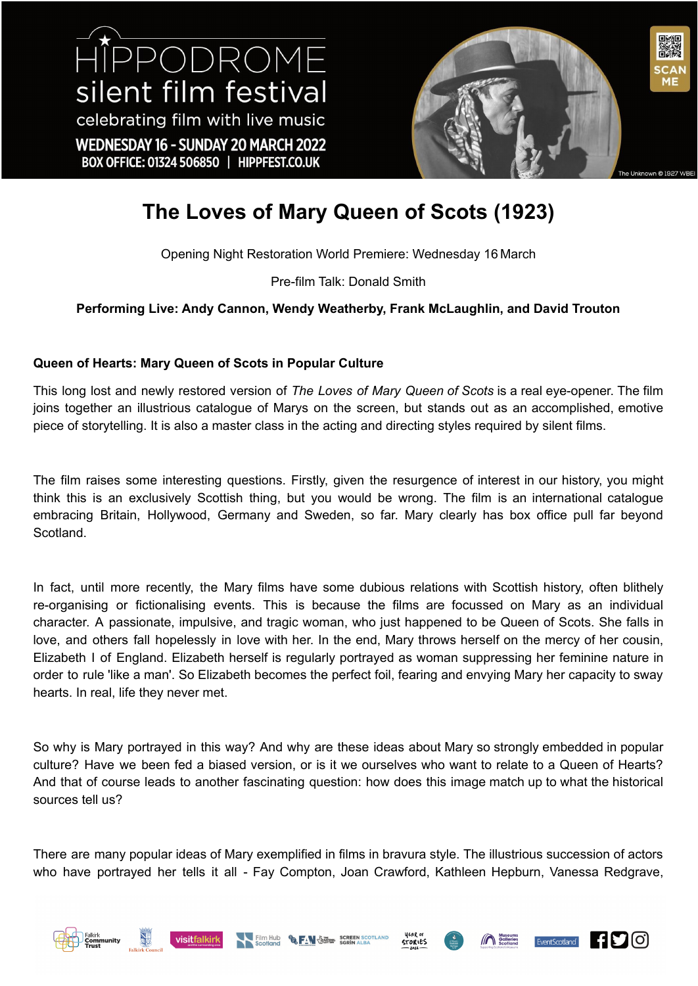HIPPODROME silent film festival celebrating film with live music WEDNESDAY 16 - SUNDAY 20 MARCH 2022 BOX OFFICE: 01324 506850 | HIPPFEST.CO.UK



## **The Loves of Mary Queen of Scots (1923)**

Opening Night Restoration World Premiere: Wednesday 16 March

Pre-film Talk: Donald Smith

### **Performing Live: Andy Cannon, Wendy Weatherby, Frank McLaughlin, and David Trouton**

### **Queen of Hearts: Mary Queen of Scots in Popular Culture**

This long lost and newly restored version of *The Loves of Mary Queen of Scots* is a real eye-opener. The film joins together an illustrious catalogue of Marys on the screen, but stands out as an accomplished, emotive piece of storytelling. It is also a master class in the acting and directing styles required by silent films.

The film raises some interesting questions. Firstly, given the resurgence of interest in our history, you might think this is an exclusively Scottish thing, but you would be wrong. The film is an international catalogue embracing Britain, Hollywood, Germany and Sweden, so far. Mary clearly has box office pull far beyond Scotland.

In fact, until more recently, the Mary films have some dubious relations with Scottish history, often blithely re-organising or fictionalising events. This is because the films are focussed on Mary as an individual character. A passionate, impulsive, and tragic woman, who just happened to be Queen of Scots. She falls in love, and others fall hopelessly in love with her. In the end, Mary throws herself on the mercy of her cousin, Elizabeth I of England. Elizabeth herself is regularly portrayed as woman suppressing her feminine nature in order to rule 'like a man'. So Elizabeth becomes the perfect foil, fearing and envying Mary her capacity to sway hearts. In real, life they never met.

So why is Mary portrayed in this way? And why are these ideas about Mary so strongly embedded in popular culture? Have we been fed a biased version, or is it we ourselves who want to relate to a Queen of Hearts? And that of course leads to another fascinating question: how does this image match up to what the historical sources tell us?

There are many popular ideas of Mary exemplified in films in bravura style. The illustrious succession of actors who have portrayed her tells it all - Fay Compton, Joan Crawford, Kathleen Hepburn, Vanessa Redgrave,











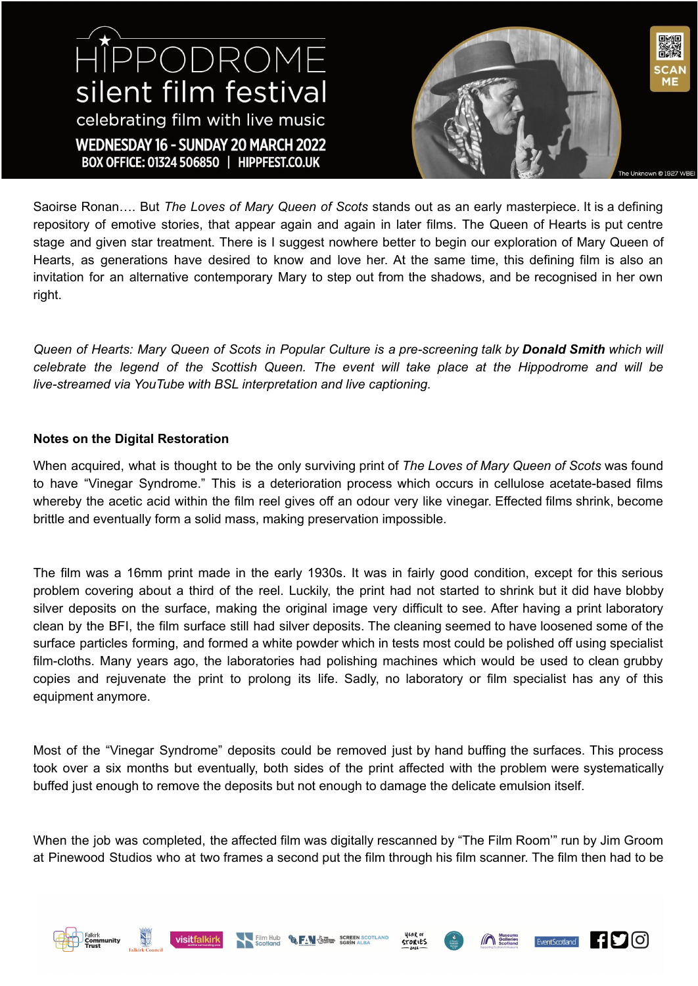# HIPPODROME silent film festival celebrating film with live music WEDNESDAY 16 - SUNDAY 20 MARCH 2022 BOX OFFICE: 01324 506850 | HIPPFEST.CO.UK



Saoirse Ronan…. But *The Loves of Mary Queen of Scots* stands out as an early masterpiece. It is a defining repository of emotive stories, that appear again and again in later films. The Queen of Hearts is put centre stage and given star treatment. There is I suggest nowhere better to begin our exploration of Mary Queen of Hearts, as generations have desired to know and love her. At the same time, this defining film is also an invitation for an alternative contemporary Mary to step out from the shadows, and be recognised in her own right.

Queen of Hearts: Mary Queen of Scots in Popular Culture is a pre-screening talk by Donald Smith which will celebrate the legend of the Scottish Queen. The event will take place at the Hippodrome and will be *live-streamed via YouTube with BSL interpretation and live captioning.*

#### **Notes on the Digital Restoration**

When acquired, what is thought to be the only surviving print of *The Loves of Mary Queen of Scots* was found to have "Vinegar Syndrome." This is a deterioration process which occurs in cellulose acetate-based films whereby the acetic acid within the film reel gives off an odour very like vinegar. Effected films shrink, become brittle and eventually form a solid mass, making preservation impossible.

The film was a 16mm print made in the early 1930s. It was in fairly good condition, except for this serious problem covering about a third of the reel. Luckily, the print had not started to shrink but it did have blobby silver deposits on the surface, making the original image very difficult to see. After having a print laboratory clean by the BFI, the film surface still had silver deposits. The cleaning seemed to have loosened some of the surface particles forming, and formed a white powder which in tests most could be polished off using specialist film-cloths. Many years ago, the laboratories had polishing machines which would be used to clean grubby copies and rejuvenate the print to prolong its life. Sadly, no laboratory or film specialist has any of this equipment anymore.

Most of the "Vinegar Syndrome" deposits could be removed just by hand buffing the surfaces. This process took over a six months but eventually, both sides of the print affected with the problem were systematically buffed just enough to remove the deposits but not enough to damage the delicate emulsion itself.

When the job was completed, the affected film was digitally rescanned by "The Film Room'" run by Jim Groom at Pinewood Studios who at two frames a second put the film through his film scanner. The film then had to be